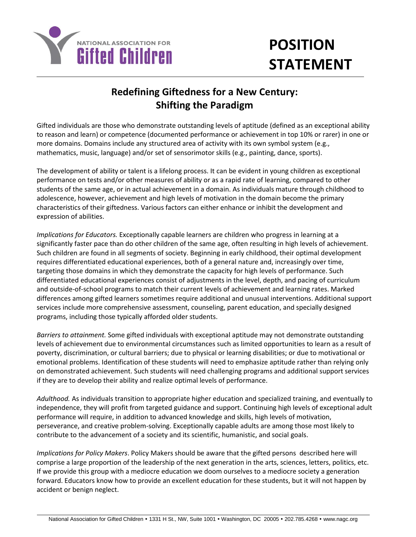

## **POSITION STATEMENT**

## **Redefining Giftedness for a New Century: Shifting the Paradigm**

Gifted individuals are those who demonstrate outstanding levels of aptitude (defined as an exceptional ability to reason and learn) or competence (documented performance or achievement in top 10% or rarer) in one or more domains. Domains include any structured area of activity with its own symbol system (e.g., mathematics, music, language) and/or set of sensorimotor skills (e.g., painting, dance, sports).

The development of ability or talent is a lifelong process. It can be evident in young children as exceptional performance on tests and/or other measures of ability or as a rapid rate of learning, compared to other students of the same age, or in actual achievement in a domain. As individuals mature through childhood to adolescence, however, achievement and high levels of motivation in the domain become the primary characteristics of their giftedness. Various factors can either enhance or inhibit the development and expression of abilities.

*Implications for Educators.* Exceptionally capable learners are children who progress in learning at a significantly faster pace than do other children of the same age, often resulting in high levels of achievement. Such children are found in all segments of society. Beginning in early childhood, their optimal development requires differentiated educational experiences, both of a general nature and, increasingly over time, targeting those domains in which they demonstrate the capacity for high levels of performance. Such differentiated educational experiences consist of adjustments in the level, depth, and pacing of curriculum and outside-of-school programs to match their current levels of achievement and learning rates. Marked differences among gifted learners sometimes require additional and unusual interventions. Additional support services include more comprehensive assessment, counseling, parent education, and specially designed programs, including those typically afforded older students.

*Barriers to attainment.* Some gifted individuals with exceptional aptitude may not demonstrate outstanding levels of achievement due to environmental circumstances such as limited opportunities to learn as a result of poverty, discrimination, or cultural barriers; due to physical or learning disabilities; or due to motivational or emotional problems. Identification of these students will need to emphasize aptitude rather than relying only on demonstrated achievement. Such students will need challenging programs and additional support services if they are to develop their ability and realize optimal levels of performance.

*Adulthood.* As individuals transition to appropriate higher education and specialized training, and eventually to independence, they will profit from targeted guidance and support. Continuing high levels of exceptional adult performance will require, in addition to advanced knowledge and skills, high levels of motivation, perseverance, and creative problem-solving. Exceptionally capable adults are among those most likely to contribute to the advancement of a society and its scientific, humanistic, and social goals.

*Implications for Policy Makers*. Policy Makers should be aware that the gifted persons described here will comprise a large proportion of the leadership of the next generation in the arts, sciences, letters, politics, etc. If we provide this group with a mediocre education we doom ourselves to a mediocre society a generation forward. Educators know how to provide an excellent education for these students, but it will not happen by accident or benign neglect.